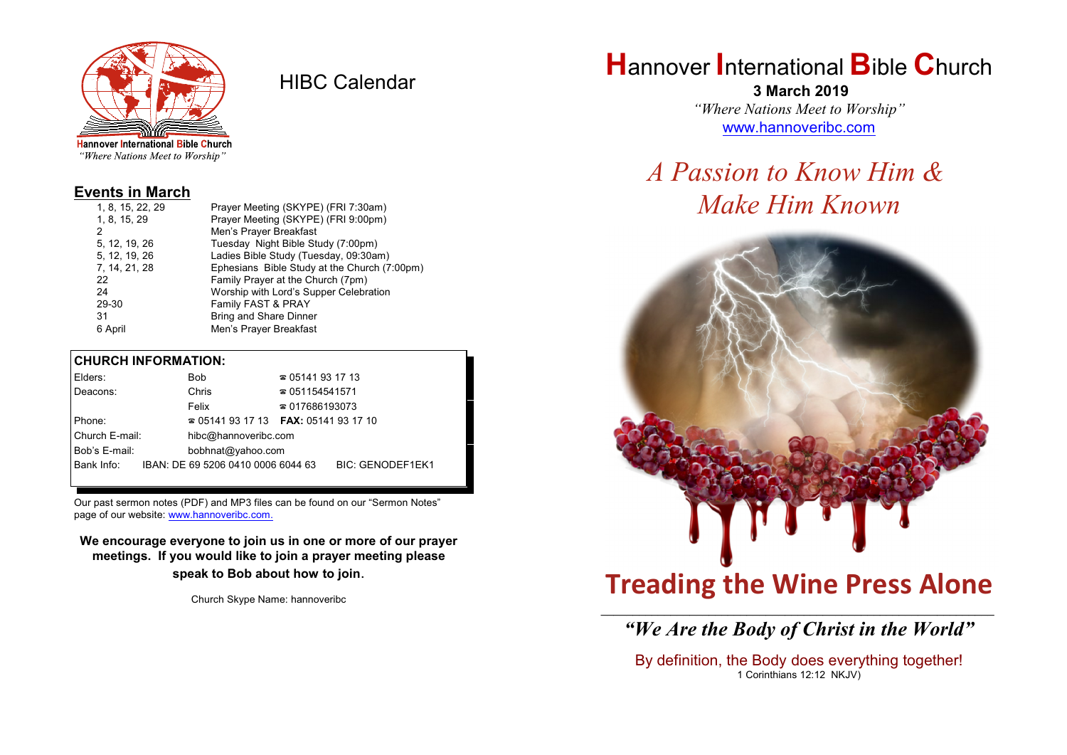

HIBC Calendar

"Where Nations Meet to Worship"

### **Events in March**

| Prayer Meeting (SKYPE) (FRI 9:00pm)<br>1, 8, 15, 29           |  |
|---------------------------------------------------------------|--|
|                                                               |  |
| Men's Prayer Breakfast<br>2                                   |  |
| Tuesday Night Bible Study (7:00pm)<br>5, 12, 19, 26           |  |
| Ladies Bible Study (Tuesday, 09:30am)<br>5, 12, 19, 26        |  |
| 7, 14, 21, 28<br>Ephesians Bible Study at the Church (7:00pm) |  |
| Family Prayer at the Church (7pm)<br>22                       |  |
| Worship with Lord's Supper Celebration<br>24                  |  |
| Family FAST & PRAY<br>29-30                                   |  |
| <b>Bring and Share Dinner</b><br>31                           |  |
| Men's Prayer Breakfast<br>6 April                             |  |

#### **CHURCH INFORMATION:**

| Elders:        | Bob                                      | $\approx 05141931713$  |                         |
|----------------|------------------------------------------|------------------------|-------------------------|
| Deacons:       | Chris                                    | $\approx 051154541571$ |                         |
|                | Felix                                    | $\approx 017686193073$ |                         |
| Phone:         | $\approx 05141931713$ FAX: 0514193 17 10 |                        |                         |
| Church E-mail: | hibc@hannoveribc.com                     |                        |                         |
| Bob's E-mail:  | bobhnat@yahoo.com                        |                        |                         |
| Bank Info:     | IBAN: DE 69 5206 0410 0006 6044 63       |                        | <b>BIC: GENODEF1EK1</b> |
|                |                                          |                        |                         |

Our past sermon notes (PDF) and MP3 files can be found on our "Sermon Notes" page of our website: [www.hannoveribc.com.](http://www.hannoveribc.com.)

**We encourage everyone to join us in one or more of our prayer meetings. If you would like to join a prayer meeting please speak to Bob about how to join**.

Church Skype Name: hannoveribc

# **H**annover **I**nternational **B**ible **C**hurch

 **3 March 2019** *"Where Nations Meet to Worship"* [www.hannoveribc.com](http://www.hannoveribc.com)

# *A Passion to Know Him & Make Him Known*



# **Treading the Wine Press Alone**

### \_\_\_\_\_\_\_\_\_\_\_\_\_\_\_\_\_\_\_\_\_\_\_\_\_\_\_\_\_\_\_\_\_\_\_\_\_\_\_\_\_\_\_\_\_\_\_\_\_\_\_\_\_\_\_\_\_\_\_\_\_\_ *"We Are the Body of Christ in the World"*

By definition, the Body does everything together! 1 Corinthians 12:12 NKJV)